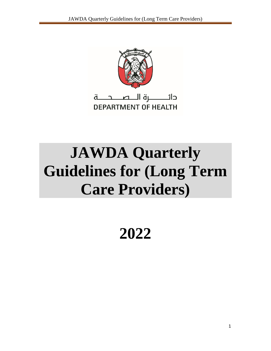

# **JAWDA Quarterly Guidelines for (Long Term Care Providers)**

**2022**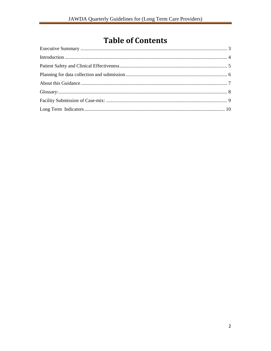## **Table of Contents**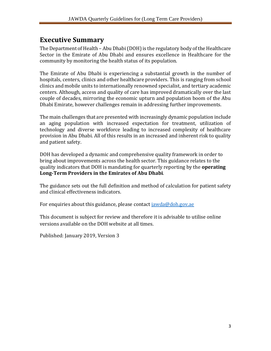### <span id="page-2-0"></span>**Executive Summary**

The Department of Health – Abu Dhabi (DOH) is the regulatory body of the Healthcare Sector in the Emirate of Abu Dhabi and ensures excellence in Healthcare for the community by monitoring the health status of its population.

The Emirate of Abu Dhabi is experiencing a substantial growth in the number of hospitals, centers, clinics and other healthcare providers. This is ranging from school clinics and mobile units to internationally renowned specialist, and tertiary academic centers. Although, access and quality of care has improved dramatically over the last couple of decades, mirroring the economic upturn and population boom of the Abu Dhabi Emirate, however challenges remain in addressing further improvements.

The main challenges that are presented with increasingly dynamic population include an aging population with increased expectation for treatment, utilization of technology and diverse workforce leading to increased complexity of healthcare provision in Abu Dhabi. All of this results in an increased and inherent risk to quality and patient safety.

DOH has developed a dynamic and comprehensive quality framework in order to bring about improvements across the health sector. This guidance relates to the quality indicators that DOH is mandating for quarterly reporting by the **operating Long-Term Providers in the Emirates of Abu Dhabi**.

The guidance sets out the full definition and method of calculation for patient safety and clinical effectiveness indicators.

For enquiries about this guidance, please contact [jawda@doh.gov.ae](mailto:jawda@doh.gov.ae)

This document is subject for review and therefore it is advisable to utilise online versions available on the DOH website at all times.

Published: January 2019, Version 3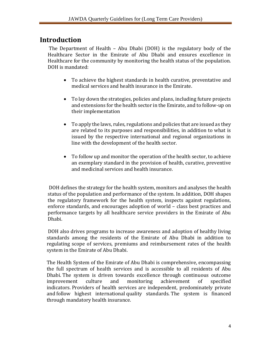### <span id="page-3-0"></span>**Introduction**

The Department of Health – Abu Dhabi (DOH) is the regulatory body of the Healthcare Sector in the Emirate of Abu Dhabi and ensures excellence in Healthcare for the community by monitoring the health status of the population. DOH is mandated:

- To achieve the highest standards in health curative, preventative and medical services and health insurance in the Emirate.
- To lay down the strategies, policies and plans, including future projects and extensions for the health sector in the Emirate, and to follow-up on their implementation
- To apply the laws, rules, regulations and policies that are issued as they are related to its purposes and responsibilities, in addition to what is issued by the respective international and regional organizations in line with the development of the health sector.
- To follow up and monitor the operation of the health sector, to achieve an exemplary standard in the provision of health, curative, preventive and medicinal services and health insurance.

DOH defines the strategy for the health system, monitors and analyses the health status of the population and performance of the system. In addition, DOH shapes the regulatory framework for the health system, inspects against regulations, enforce standards, and encourages adoption of world – class best practices and performance targets by all healthcare service providers in the Emirate of Abu Dhabi.

DOH also drives programs to increase awareness and adoption of healthy living standards among the residents of the Emirate of Abu Dhabi in addition to regulating scope of services, premiums and reimbursement rates of the health system in the Emirate of Abu Dhabi.

The Health System of the Emirate of Abu Dhabi is comprehensive, encompassing the full spectrum of health services and is accessible to all residents of Abu Dhabi. The system is driven towards excellence through continuous outcome improvement culture and monitoring achievement of specified indicators. Providers of health services are independent, predominately private and follow highest international quality standards. The system is financed through mandatory health insurance.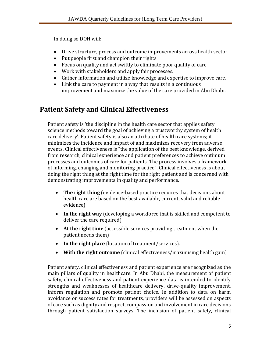In doing so DOH will:

- Drive structure, process and outcome improvements across health sector
- Put people first and champion their rights
- Focus on quality and act swiftly to eliminate poor quality of care
- Work with stakeholders and apply fair processes.
- Gather information and utilize knowledge and expertise to improve care.
- Link the care to payment in a way that results in a continuous improvement and maximize the value of the care provided in Abu Dhabi.

### <span id="page-4-0"></span>**Patient Safety and Clinical Effectiveness**

Patient safety is 'the discipline in the health care sector that applies safety science methods toward the goal of achieving a trustworthy system of health care delivery'. Patient safety is also an attribute of health care systems; it minimizes the incidence and impact of and maximizes recovery from adverse events. Clinical effectiveness is "the application of the best knowledge, derived from research, clinical experience and patient preferences to achieve optimum processes and outcomes of care for patients. The process involves a framework of informing, changing and monitoring practice". Clinical effectiveness is about doing the right thing at the right time for the right patient and is concerned with demonstrating improvements in quality and performance.

- **The right thing** (evidence-based practice requires that decisions about health care are based on the best available, current, valid and reliable evidence)
- **In the right way** (developing a workforce that is skilled and competent to deliver the care required)
- **At the right time** (accessible services providing treatment when the patient needs them)
- **In the right place** (location of treatment/services).
- **With the right outcome** (clinical effectiveness/maximising health gain)

Patient safety, clinical effectiveness and patient experience are recognized as the main pillars of quality in healthcare. In Abu Dhabi, the measurement of patient safety, clinical effectiveness and patient experience data is intended to identify strengths and weaknesses of healthcare delivery, drive-quality improvement, inform regulation and promote patient choice. In addition to data on harm avoidance or success rates for treatments, providers will be assessed on aspects of care such as dignity and respect, compassion and involvement in care decisions through patient satisfaction surveys. The inclusion of patient safety, clinical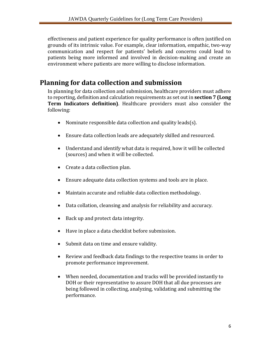effectiveness and patient experience for quality performance is often justified on grounds of its intrinsic value. For example, clear information, empathic, two-way communication and respect for patients' beliefs and concerns could lead to patients being more informed and involved in decision-making and create an environment where patients are more willing to disclose information.

### <span id="page-5-0"></span>**Planning for data collection and submission**

In planning for data collection and submission, healthcare providers must adhere to reporting, definition and calculation requirements as set out in **section 7 (Long Term Indicators definition)**. Healthcare providers must also consider the following:

- Nominate responsible data collection and quality leads(s).
- Ensure data collection leads are adequately skilled and resourced.
- Understand and identify what data is required, how it will be collected (sources) and when it will be collected.
- Create a data collection plan.
- Ensure adequate data collection systems and tools are in place.
- Maintain accurate and reliable data collection methodology.
- Data collation, cleansing and analysis for reliability and accuracy.
- Back up and protect data integrity.
- Have in place a data checklist before submission.
- Submit data on time and ensure validity.
- Review and feedback data findings to the respective teams in order to promote performance improvement.
- When needed, documentation and tracks will be provided instantly to DOH or their representative to assure DOH that all due processes are being followed in collecting, analyzing, validating and submitting the performance.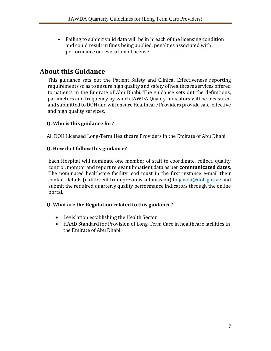Failing to submit valid data will be in breach of the licensing condition and could result in fines being applied, penalties associated with performance or revocation of license.

### <span id="page-6-0"></span>**About this Guidance**

This guidance sets out the Patient Safety and Clinical Effectiveness reporting requirements so as to ensure high quality and safety of healthcare services offered to patients in the Emirate of Abu Dhabi. The guidance sets out the definitions, parameters and frequency by which JAWDA Quality indicators will be measured and submitted to DOH and will ensure Healthcare Providers provide safe, effective and high quality services.

### **Q. Who is this guidance for?**

All DOH Licensed Long-Term Healthcare Providers in the Emirate of Abu Dhabi

### **Q. How do I follow this guidance?**

Each Hospital will nominate one member of staff to coordinate, collect, quality control, monitor and report relevant Inpatient data as per **communicated dates**. The nominated healthcare facility lead must in the first instance e-mail their contact details (if different from previous submission) to [jawda@doh.gov.ae](mailto:jawda@doh.gov.ae) and submit the required quarterly quality performance indicators through the online portal.

### **Q. What are the Regulation related to this guidance?**

- Legislation establishing the Health Sector
- HAAD Standard for Provision of Long-Term Care in healthcare facilities in the Emirate of Abu Dhabi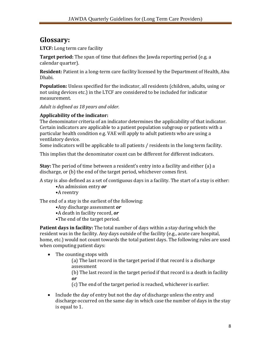### <span id="page-7-0"></span>**Glossary:**

**LTCF:** Long term care facility

**Target period:** The span of time that defines the Jawda reporting period (e.g. a calendar quarter).

**Resident:** Patient in a long-term care facility licensed by the Department of Health, Abu Dhabi.

**Population:** Unless specified for the indicator, all residents (children, adults, using or not using devices etc.) in the LTCF are considered to be included for indicator measurement.

*Adult is defined as 18 years and older.*

### **Applicability of the indicator:**

The denominator criteria of an indicator determines the applicability of that indicator. Certain indicators are applicable to a patient population subgroup or patients with a particular health condition e.g. VAE will apply to adult patients who are using a ventilatory device.

Some indicators will be applicable to all patients / residents in the long term facility.

This implies that the denominator count can be different for different indicators.

**Stay:** The period of time between a resident's entry into a facility and either (a) a discharge, or (b) the end of the target period, whichever comes first.

A stay is also defined as a set of contiguous days in a facility. The start of a stay is either:

- •An admission entry *or*
- •A reentry

The end of a stay is the earliest of the following:

- •Any discharge assessment *or*
- •A death in facility record, *or*
- •The end of the target period.

**Patient days in facility:** The total number of days within a stay during which the resident was in the facility. Any days outside of the facility (e.g., acute care hospital, home, etc.) would not count towards the total patient days. The following rules are used when computing patient days:

• The counting stops with

(a) The last record in the target period if that record is a discharge assessment

(b) The last record in the target period if that record is a death in facility *or* 

(c) The end of the target period is reached, whichever is earlier.

 Include the day of entry but not the day of discharge unless the entry and discharge occurred on the same day in which case the number of days in the stay is equal to 1.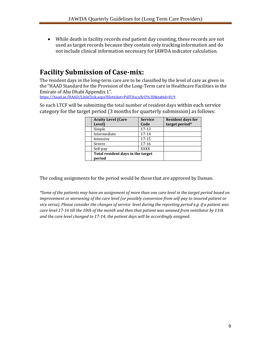While death in facility records end patient day counting, these records are not used as target records because they contain only tracking information and do not include clinical information necessary for JAWDA indicator calculation.

### <span id="page-8-0"></span>**Facility Submission of Case-mix:**

The resident days in the long-term care are to be classified by the level of care as given in the "HAAD Standard for the Provision of the Long-Term care in Healthcare Facilities in the Emirate of Abu Dhabi Appendix 1".

<https://haad.ae/HAAD/LinkClick.aspx?fileticket=PdlTAxcoXrU%3D&tabid=819>

So each LTCF will be submitting the total number of resident days within each service category for the target period (3 months for quarterly submission) as follows:

| <b>Acuity Level (Care</b><br>Level)         | <b>Service</b><br>Code | <b>Resident days for</b><br>target period* |
|---------------------------------------------|------------------------|--------------------------------------------|
| Simple                                      | $17-13$                |                                            |
| Intermediate                                | $17 - 14$              |                                            |
| Intensive                                   | $17 - 15$              |                                            |
| Severe                                      | $17 - 16$              |                                            |
| Self-pay                                    | <b>XXXX</b>            |                                            |
| Total resident days in the target<br>period |                        |                                            |

The coding assignments for the period would be those that are approved by Daman.

*\*Some of the patients may have an assignment of more than one care level in the target period based on improvement or worsening of the care level (or possibly conversion from self-pay to insured patient or vice versa). Please consider the changes of service level during the reporting period e.g. if a patient was care level 17-16 till the 10th of the month and then that patient was weaned from ventilator by 11th and the care level changed to 17-14; the patient days will be accordingly assigned.*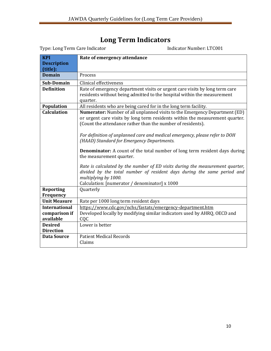## **Long Term Indicators**

<span id="page-9-0"></span>

| <b>KPI</b>           | Rate of emergency attendance                                                                                                                                                                                                                                                                                                                                                                                                                                                                                                                                                                                                                                                                                 |
|----------------------|--------------------------------------------------------------------------------------------------------------------------------------------------------------------------------------------------------------------------------------------------------------------------------------------------------------------------------------------------------------------------------------------------------------------------------------------------------------------------------------------------------------------------------------------------------------------------------------------------------------------------------------------------------------------------------------------------------------|
| <b>Description</b>   |                                                                                                                                                                                                                                                                                                                                                                                                                                                                                                                                                                                                                                                                                                              |
| (title):             |                                                                                                                                                                                                                                                                                                                                                                                                                                                                                                                                                                                                                                                                                                              |
| <b>Domain</b>        | Process                                                                                                                                                                                                                                                                                                                                                                                                                                                                                                                                                                                                                                                                                                      |
| <b>Sub-Domain</b>    | Clinical effectiveness                                                                                                                                                                                                                                                                                                                                                                                                                                                                                                                                                                                                                                                                                       |
| <b>Definition</b>    | Rate of emergency department visits or urgent care visits by long term care<br>residents without being admitted to the hospital within the measurement<br>quarter.                                                                                                                                                                                                                                                                                                                                                                                                                                                                                                                                           |
| Population           | All residents who are being cared for in the long term facility.                                                                                                                                                                                                                                                                                                                                                                                                                                                                                                                                                                                                                                             |
| <b>Calculation</b>   | Numerator: Number of all unplanned visits to the Emergency Department (ED)<br>or urgent care visits by long term residents within the measurement quarter.<br>(Count the attendance rather than the number of residents).<br>For definition of unplanned care and medical emergency, please refer to DOH<br>(HAAD) Standard for Emergency Departments.<br><b>Denominator:</b> A count of the total number of long term resident days during<br>the measurement quarter.<br>Rate is calculated by the number of ED visits during the measurement quarter,<br>divided by the total number of resident days during the same period and<br>multiplying by 1000.<br>Calculation: [numerator / denominator] x 1000 |
| <b>Reporting</b>     | Quarterly                                                                                                                                                                                                                                                                                                                                                                                                                                                                                                                                                                                                                                                                                                    |
| Frequency            |                                                                                                                                                                                                                                                                                                                                                                                                                                                                                                                                                                                                                                                                                                              |
| <b>Unit Measure</b>  | Rate per 1000 long term resident days                                                                                                                                                                                                                                                                                                                                                                                                                                                                                                                                                                                                                                                                        |
| <b>International</b> | https://www.cdc.gov/nchs/fastats/emergency-department.htm                                                                                                                                                                                                                                                                                                                                                                                                                                                                                                                                                                                                                                                    |
| comparison if        | Developed locally by modifying similar indicators used by AHRQ, OECD and                                                                                                                                                                                                                                                                                                                                                                                                                                                                                                                                                                                                                                     |
| available            | CQC                                                                                                                                                                                                                                                                                                                                                                                                                                                                                                                                                                                                                                                                                                          |
| <b>Desired</b>       | Lower is better                                                                                                                                                                                                                                                                                                                                                                                                                                                                                                                                                                                                                                                                                              |
| <b>Direction</b>     |                                                                                                                                                                                                                                                                                                                                                                                                                                                                                                                                                                                                                                                                                                              |
| <b>Data Source</b>   | <b>Patient Medical Records</b><br>Claims                                                                                                                                                                                                                                                                                                                                                                                                                                                                                                                                                                                                                                                                     |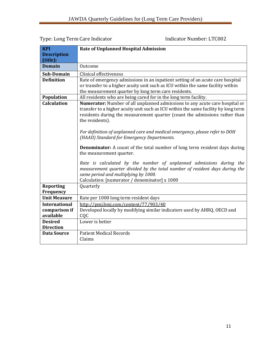| <b>KPI</b>                                         | <b>Rate of Unplanned Hospital Admission</b>                                                                                                                                                                                                                                                                                                                                                                                                                                                                                                                                                                                                                            |
|----------------------------------------------------|------------------------------------------------------------------------------------------------------------------------------------------------------------------------------------------------------------------------------------------------------------------------------------------------------------------------------------------------------------------------------------------------------------------------------------------------------------------------------------------------------------------------------------------------------------------------------------------------------------------------------------------------------------------------|
| <b>Description</b>                                 |                                                                                                                                                                                                                                                                                                                                                                                                                                                                                                                                                                                                                                                                        |
| (title):                                           |                                                                                                                                                                                                                                                                                                                                                                                                                                                                                                                                                                                                                                                                        |
| <b>Domain</b>                                      | Outcome                                                                                                                                                                                                                                                                                                                                                                                                                                                                                                                                                                                                                                                                |
| Sub-Domain                                         | Clinical effectiveness                                                                                                                                                                                                                                                                                                                                                                                                                                                                                                                                                                                                                                                 |
| <b>Definition</b>                                  | Rate of emergency admissions in an inpatient setting of an acute care hospital<br>or transfer to a higher acuity unit such as ICU within the same facility within<br>the measurement quarter by long term care residents.                                                                                                                                                                                                                                                                                                                                                                                                                                              |
| Population                                         | All residents who are being cared for in the long term facility.                                                                                                                                                                                                                                                                                                                                                                                                                                                                                                                                                                                                       |
| <b>Calculation</b>                                 | Numerator: Number of all unplanned admissions to any acute care hospital or<br>transfer to a higher acuity unit such as ICU within the same facility by long term<br>residents during the measurement quarter (count the admissions rather than<br>the residents).<br>For definition of unplanned care and medical emergency, please refer to DOH<br>(HAAD) Standard for Emergency Departments.<br><b>Denominator:</b> A count of the total number of long term resident days during<br>the measurement quarter.<br>Rate is calculated by the number of unplanned admissions during the<br>measurement quarter divided by the total number of resident days during the |
|                                                    | same period and multiplying by 1000.<br>Calculation: [numerator / denominator] x 1000                                                                                                                                                                                                                                                                                                                                                                                                                                                                                                                                                                                  |
| <b>Reporting</b><br>Frequency                      | Quarterly                                                                                                                                                                                                                                                                                                                                                                                                                                                                                                                                                                                                                                                              |
| <b>Unit Measure</b>                                | Rate per 1000 long term resident days                                                                                                                                                                                                                                                                                                                                                                                                                                                                                                                                                                                                                                  |
| <b>International</b><br>comparison if<br>available | http://pmj.bmj.com/content/77/903/40<br>Developed locally by modifying similar indicators used by AHRQ, OECD and<br>CQC                                                                                                                                                                                                                                                                                                                                                                                                                                                                                                                                                |
| <b>Desired</b><br><b>Direction</b>                 | Lower is better                                                                                                                                                                                                                                                                                                                                                                                                                                                                                                                                                                                                                                                        |
| <b>Data Source</b>                                 | <b>Patient Medical Records</b><br>Claims                                                                                                                                                                                                                                                                                                                                                                                                                                                                                                                                                                                                                               |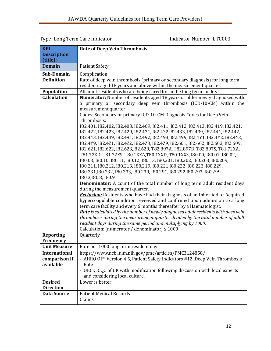| <b>KPI</b>           | <b>Rate of Deep Vein Thrombosis</b>                                                                                                              |
|----------------------|--------------------------------------------------------------------------------------------------------------------------------------------------|
| <b>Description</b>   |                                                                                                                                                  |
| (title):             |                                                                                                                                                  |
| <b>Domain</b>        | <b>Patient Safety</b>                                                                                                                            |
| Sub-Domain           | Complication                                                                                                                                     |
| <b>Definition</b>    | Rate of deep vein thrombosis (primary or secondary diagnosis) for long term<br>residents aged 18 years and above within the measurement quarter. |
| Population           | All adult residents who are being cared for in the long term facility.                                                                           |
| <b>Calculation</b>   | Numerator: Number of residents aged 18 years or older newly diagnosed with                                                                       |
|                      | a primary or secondary deep vein thrombosis (ICD-10-CM) within the                                                                               |
|                      | measurement quarter.                                                                                                                             |
|                      | Codes: Secondary or primary ICD-10-CM Diagnosis Codes for Deep Vein<br>Thrombosis:                                                               |
|                      | I82.401, I82.402, I82.403, I82.409, I82.411, I82.412, I82.413, I82.419, I82.421,                                                                 |
|                      | 182.422, 182.423, 182.429, 182.431, 182.432, 82.433, 182.439, 182.441, 182.442,                                                                  |
|                      | I82.443, I82.449, I82.491, I82.492, I82.493, I82.499, I82.4Y1, I82.4Y2, I82.4Y3,                                                                 |
|                      | I82.4Y9, I82.4Z1, I82.4Z2, I82.4Z3, I82.4Z9, I82.601, I82.602, I82.603, I82.609,                                                                 |
|                      | I82.621, I82.622, I82.623, I82.629, T82.897A, T82.897D, T82.897S, T81.72XA,                                                                      |
|                      | T81.72XD, T81.72XS, T80.1XXA, T80.1XXD, T80.1XXS, I80.00, I80.01, I80.02,                                                                        |
|                      | 180.03, 180.10, 180.11, 180.12, 180.13, 180.201, 180.202, 180.203, 180.209,                                                                      |
|                      | 180.211, 180.212, 180.213, 180.219, 180.221, 180.222, 180.223, 180.229,                                                                          |
|                      | 180.231,180.232, 180.233, 180.239, 180.291, 180.292, 180.293, 180.299,                                                                           |
|                      | 180.3, 180.8, 180.9                                                                                                                              |
|                      | <b>Denominator:</b> A count of the total number of long term adult resident days<br>during the measurement quarter.                              |
|                      | <b>Exclusion:</b> Residents who have had their diagnosis of an Inherited or Acquired                                                             |
|                      | hypercoagulable condition reviewed and confirmed upon admission to a long                                                                        |
|                      | term care facility and every 6 months thereafter by a Haematologist.                                                                             |
|                      | Rate is calculated by the number of newly diagnosed adult residents with deep vein                                                               |
|                      | thrombosis during the measurement quarter divided by the total number of adult                                                                   |
|                      | resident days during the same period and multiplying by 1000.                                                                                    |
|                      | Calculation: [numerator / denominator] x 1000                                                                                                    |
| <b>Reporting</b>     | Quarterly                                                                                                                                        |
| Frequency            |                                                                                                                                                  |
| <b>Unit Measure</b>  | Rate per 1000 long term resident days                                                                                                            |
| <b>International</b> | https://www.ncbi.nlm.nih.gov/pmc/articles/PMC3124858/                                                                                            |
| comparison if        | - AHRQ QI™ Version 4.5, Patient Safety Indicators #12, Deep Vein Thrombosis                                                                      |
| available            | Rate                                                                                                                                             |
|                      | - OECD, CQC of UK with modification following discussion with local experts                                                                      |
|                      | and considering local culture.                                                                                                                   |
| <b>Desired</b>       | Lower is better                                                                                                                                  |
| <b>Direction</b>     |                                                                                                                                                  |
| <b>Data Source</b>   | <b>Patient Medical Records</b>                                                                                                                   |
|                      | Claims                                                                                                                                           |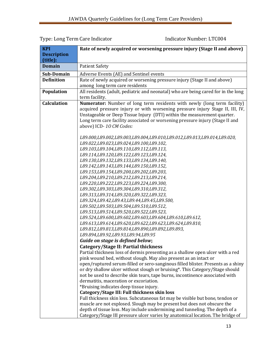#### **KPI Description (title): Rate of newly acquired or worsening pressure injury (Stage II and above) Domain** | Patient Safety **Sub-Domain** | Adverse Events (AE) and Sentinel events **Definition** | Rate of newly acquired or worsening pressure injury (Stage II and above) among long term care residents **Population** | All residents (adult, pediatric and neonatal) who are being cared for in the long term facility. **Calculation Numerator:** Number of long term residents with newly (long term facility) acquired pressure injury or with worsening pressure injury Stage II, III, IV, Unstageable or Deep Tissue Injury (DTI) within the measurement quarter. Long term care facility associated or worsening pressure injury (Stage II and above) ICD- *1O CM Codes: L89.000,L89.002,L89.003,L89.004,L89.010,L89.012,L89.013,L89.014,L89.020, L89.022,L89.023,L89.024,L89.100,L89.102, L89.103,L89.104,L89.110,L89.112,L89.113, L89.114,L89.120,L89.122,L89.123,L89.124, L89.130,L89.132,L89.133,L89.134,L89.140, L89.142,L89.143,L89.144,L89.150,L89.152, L89.153,L89.154,L89.200,L89.202,L89.203, L89.204,L89.210,L89.212,L89.213,L89.214, L89.220,L89.222,L89.223,L89.224,L89.300, L89.302,L89.303,L89.304,L89.310,L89.312, L89.313,L89.314,L89.320,L89.322,L89.323, L89.324,L89.42,L89.43,L89.44,L89.45,L89.500, L89.502,L89.503,L89.504,L89.510,L89.512, L89.513,L89.514,L89.520,L89.522,L89.523, L89.524,L89.600,L89.602,L89.603,L89.604,L89.610,L89.612, L89.613,L89.614,L89.620,L89.622,L89.623,L89.624,L89.810, L89.812,L89.813,L89.814,L89.890,L89.892,L89.893, L89.894,L89.92,L89.93,L89.94,L89.95 Guide on stage is defined below***; Category/Stage II: Partial thickness**  Partial thickness loss of dermis presenting as a shallow open ulcer with a red pink wound bed, without slough. May also present as an intact or open/ruptured serum-filled or sero-sanginous filled blister. Presents as a shiny or dry shallow ulcer without slough or bruising\*. This Category/Stage should not be used to describe skin tears, tape burns, incontinence associated with dermatitis, maceration or excoriation. \*Bruising indicates deep tissue injury. **Category/Stage III: Full thickness skin loss**  Full thickness skin loss. Subcutaneous fat may be visible but bone, tendon or muscle are not explosed. Slough may be present but does not obscure the depth of tissue loss. May include undermining and tunneling. The depth of a Category/Stage III pressure ulcer varies by anatomical location. The bridge of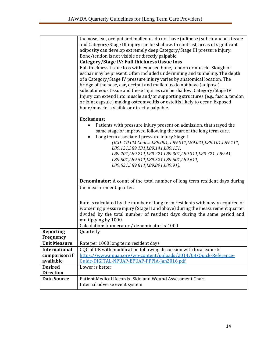|                      | the nose, ear, occiput and malleolus do not have (adipose) subcutaneous tissue    |
|----------------------|-----------------------------------------------------------------------------------|
|                      | and Category/Stage III injury can be shallow. In contrast, areas of significant   |
|                      | adiposity can develop extremely deep Category/Stage III pressure injury.          |
|                      | Bone/tendon is not visible or directly palpable.                                  |
|                      | Category/Stage IV: Full thickness tissue loss                                     |
|                      | Full thickness tissue loss with exposed bone, tendon or muscle. Slough or         |
|                      | eschar may be present. Often included undermining and tunneling. The depth        |
|                      | of a Category/Stage IV pressure injury varies by anatomical location. The         |
|                      | bridge of the nose, ear, occiput and malleolus do not have (adipose)              |
|                      | subcutaneous tissue and these injuries can be shallow. Category/Stage IV          |
|                      | Injury can extend into muscle and/or supporting structures (e.g., fascia, tendon  |
|                      | or joint capsule) making osteomyelitis or osteitis likely to occur. Exposed       |
|                      | bone/muscle is visible or directly palpable.                                      |
|                      | <b>Exclusions:</b>                                                                |
|                      | Patients with pressure injury present on admission, that stayed the               |
|                      | same stage or improved following the start of the long term care.                 |
|                      | Long term associated pressure injury Stage I                                      |
|                      | (ICD-10 CM Codes: L89.001, L89.011, L89.021, L89.101, L89.111,                    |
|                      | L89.121,L89.131,L89.141,L89.151,                                                  |
|                      | L89.201,L89.211,L89.221,L89.301,L89.311,L89.321, L89.41,                          |
|                      | L89.501,L89.511,L89.521,L89.601,L89.611,                                          |
|                      | L89.621,L89.811,L89.891,L89.91).                                                  |
|                      |                                                                                   |
|                      | <b>Denominator:</b> A count of the total number of long term resident days during |
|                      | the measurement quarter.                                                          |
|                      |                                                                                   |
|                      | Rate is calculated by the number of long term residents with newly acquired or    |
|                      | worsening pressure injury (Stage II and above) during the measurement quarter     |
|                      | divided by the total number of resident days during the same period and           |
|                      | multiplying by 1000.                                                              |
|                      | Calculation: [numerator / denominator] x 1000                                     |
| <b>Reporting</b>     | Quarterly                                                                         |
| Frequency            |                                                                                   |
| <b>Unit Measure</b>  | Rate per 1000 long term resident days                                             |
| <b>International</b> | CQC of UK with modification following discussion with local experts               |
| comparison if        | https://www.npuap.org/wp-content/uploads/2014/08/Quick-Reference-                 |
| available            | Guide-DIGITAL-NPUAP-EPUAP-PPPIA-Jan2016.pdf                                       |
| <b>Desired</b>       | Lower is better                                                                   |
| <b>Direction</b>     |                                                                                   |
| <b>Data Source</b>   | Patient Medical Records - Skin and Wound Assessment Chart                         |
|                      | Internal adverse event system                                                     |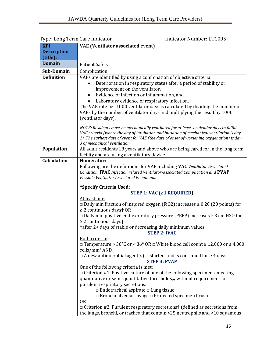|                    | Type: Long Term Care muicator<br>IIIUILALUI NUIIIDEI: LI CUUJ                                     |
|--------------------|---------------------------------------------------------------------------------------------------|
| <b>KPI</b>         | <b>VAE</b> (Ventilator associated event)                                                          |
| <b>Description</b> |                                                                                                   |
| (title):           |                                                                                                   |
| <b>Domain</b>      | <b>Patient Safety</b>                                                                             |
| Sub-Domain         | Complication                                                                                      |
| <b>Definition</b>  | VAEs are identified by using a combination of objective criteria:                                 |
|                    | Deterioration in respiratory status after a period of stability or                                |
|                    | improvement on the ventilator,                                                                    |
|                    | Evidence of infection or inflammation, and                                                        |
|                    | Laboratory evidence of respiratory infection.                                                     |
|                    | The VAE rate per 1000 ventilator days is calculated by dividing the number of                     |
|                    | VAEs by the number of ventilator days and multiplying the result by 1000                          |
|                    | (ventilator days).                                                                                |
|                    |                                                                                                   |
|                    | NOTE: Residents must be mechanically ventilated for at least 4 calendar days to fulfill           |
|                    | VAE criteria (where the day of intubation and initiation of mechanical ventilation is day         |
|                    | 1). The earliest date of event for VAE (the date of onset of worsening oxygenation) is day        |
|                    | 3 of mechanical ventilation.                                                                      |
| Population         | All adult residents 18 years and above who are being cared for in the long term                   |
|                    | facility and are using a ventilatory device.                                                      |
| <b>Calculation</b> | Numerator:                                                                                        |
|                    | Following are the definitions for VAE including VAC Ventilator-Associated                         |
|                    | Condition, IVAC Infection related Ventilator-Associated Complication and PVAP                     |
|                    | Possible Ventilator Associated Pneumonia.                                                         |
|                    | *Specify Criteria Used:                                                                           |
|                    | STEP 1: VAC $( \geq 1$ REQUIRED)                                                                  |
|                    | At least one:                                                                                     |
|                    | $\Box$ Daily min fraction of inspired oxygen (FiO2) increases $\geq$ 0.20 (20 points) for         |
|                    | $\geq$ 2 continuous days† OR                                                                      |
|                    | $\Box$ Daily min positive end-expiratory pressure (PEEP) increases $\geq 3$ cm H2O for            |
|                    | $\geq$ 2 continuous days <sup>+</sup>                                                             |
|                    | †after 2+ days of stable or decreasing daily minimum values.                                      |
|                    | <b>STEP 2: IVAC</b>                                                                               |
|                    | Both criteria:                                                                                    |
|                    | $\Box$ Temperature > 38°C or < 36° OR $\Box$ White blood cell count $\geq$ 12,000 or $\leq$ 4,000 |
|                    | cells/mm <sup>3</sup> AND                                                                         |
|                    | $\Box$ A new antimicrobial agent(s) is started, and is continued for $\geq 4$ days                |
|                    | <b>STEP 3: PVAP</b>                                                                               |
|                    | One of the following criteria is met:                                                             |
|                    | $\Box$ Criterion #1: Positive culture of one of the following specimens, meeting                  |
|                    | quantitative or semi-quantitative thresholds,# without requirement for                            |
|                    | purulent respiratory secretions:                                                                  |
|                    | $\Box$ Endotracheal aspirate $\Box$ Lung tissue                                                   |
|                    | $\Box$ Bronchoalveolar lavage $\Box$ Protected specimen brush                                     |
|                    | 0 <sub>R</sub>                                                                                    |
|                    | $\Box$ Criterion #2: Purulent respiratory secretions $\ddagger$ (defined as secretions from       |
|                    | the lungs, bronchi, or trachea that contain >25 neutrophils and <10 squamous                      |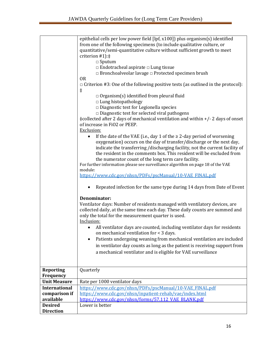|                      | epithelial cells per low power field [lpf, x100]) plus organism(s) identified<br>from one of the following specimens (to include qualitative culture, or<br>quantitative/semi-quantitative culture without sufficient growth to meet<br>criterion $#1$ : $\ddagger$<br>$\Box$ Sputum<br>$\Box$ Endotracheal aspirate $\Box$ Lung tissue<br>$\Box$ Bronchoalveolar lavage $\Box$ Protected specimen brush<br><b>OR</b><br>$\Box$ Criterion #3: One of the following positive tests (as outlined in the protocol):<br>$\ddagger$<br>$\Box$ Organism(s) identified from pleural fluid<br>$\Box$ Lung histopathology<br>$\square$ Diagnostic test for Legionella species<br>$\Box$ Diagnostic test for selected viral pathogens<br>‡collected after 2 days of mechanical ventilation and within +/- 2 days of onset<br>of increase in FiO2 or PEEP.<br>Exclusion:<br>If the date of the VAE (i.e., day 1 of the $\geq$ 2-day period of worsening<br>$\bullet$<br>oxygenation) occurs on the day of transfer/discharge or the next day,<br>indicate the transferring /discharging facility, not the current facility of<br>the resident in the comments box. This resident will be excluded from |
|----------------------|---------------------------------------------------------------------------------------------------------------------------------------------------------------------------------------------------------------------------------------------------------------------------------------------------------------------------------------------------------------------------------------------------------------------------------------------------------------------------------------------------------------------------------------------------------------------------------------------------------------------------------------------------------------------------------------------------------------------------------------------------------------------------------------------------------------------------------------------------------------------------------------------------------------------------------------------------------------------------------------------------------------------------------------------------------------------------------------------------------------------------------------------------------------------------------------------|
|                      | the numerator count of the long term care facility.                                                                                                                                                                                                                                                                                                                                                                                                                                                                                                                                                                                                                                                                                                                                                                                                                                                                                                                                                                                                                                                                                                                                         |
|                      | For further information please see surveillance algorithm on page 18 of the VAE                                                                                                                                                                                                                                                                                                                                                                                                                                                                                                                                                                                                                                                                                                                                                                                                                                                                                                                                                                                                                                                                                                             |
|                      | module:                                                                                                                                                                                                                                                                                                                                                                                                                                                                                                                                                                                                                                                                                                                                                                                                                                                                                                                                                                                                                                                                                                                                                                                     |
|                      | https://www.cdc.gov/nhsn/PDFs/pscManual/10-VAE FINAL.pdf                                                                                                                                                                                                                                                                                                                                                                                                                                                                                                                                                                                                                                                                                                                                                                                                                                                                                                                                                                                                                                                                                                                                    |
|                      | Repeated infection for the same type during 14 days from Date of Event                                                                                                                                                                                                                                                                                                                                                                                                                                                                                                                                                                                                                                                                                                                                                                                                                                                                                                                                                                                                                                                                                                                      |
|                      | Denominator:<br>Ventilator days: Number of residents managed with ventilatory devices, are<br>collected daily, at the same time each day. These daily counts are summed and<br>only the total for the measurement quarter is used.<br>Inclusion:                                                                                                                                                                                                                                                                                                                                                                                                                                                                                                                                                                                                                                                                                                                                                                                                                                                                                                                                            |
|                      | All ventilator days are counted, including ventilator days for residents<br>on mechanical ventilation for < 3 days.                                                                                                                                                                                                                                                                                                                                                                                                                                                                                                                                                                                                                                                                                                                                                                                                                                                                                                                                                                                                                                                                         |
|                      | Patients undergoing weaning from mechanical ventilation are included                                                                                                                                                                                                                                                                                                                                                                                                                                                                                                                                                                                                                                                                                                                                                                                                                                                                                                                                                                                                                                                                                                                        |
|                      | in ventilator day counts as long as the patient is receiving support from                                                                                                                                                                                                                                                                                                                                                                                                                                                                                                                                                                                                                                                                                                                                                                                                                                                                                                                                                                                                                                                                                                                   |
|                      | a mechanical ventilator and is eligible for VAE surveillance                                                                                                                                                                                                                                                                                                                                                                                                                                                                                                                                                                                                                                                                                                                                                                                                                                                                                                                                                                                                                                                                                                                                |
|                      |                                                                                                                                                                                                                                                                                                                                                                                                                                                                                                                                                                                                                                                                                                                                                                                                                                                                                                                                                                                                                                                                                                                                                                                             |
| <b>Reporting</b>     | Quarterly                                                                                                                                                                                                                                                                                                                                                                                                                                                                                                                                                                                                                                                                                                                                                                                                                                                                                                                                                                                                                                                                                                                                                                                   |
| Frequency            |                                                                                                                                                                                                                                                                                                                                                                                                                                                                                                                                                                                                                                                                                                                                                                                                                                                                                                                                                                                                                                                                                                                                                                                             |
| <b>Unit Measure</b>  | Rate per 1000 ventilator days                                                                                                                                                                                                                                                                                                                                                                                                                                                                                                                                                                                                                                                                                                                                                                                                                                                                                                                                                                                                                                                                                                                                                               |
| <b>International</b> | https://www.cdc.gov/nhsn/PDFs/pscManual/10-VAE_FINAL.pdf                                                                                                                                                                                                                                                                                                                                                                                                                                                                                                                                                                                                                                                                                                                                                                                                                                                                                                                                                                                                                                                                                                                                    |
| comparison if        | https://www.cdc.gov/nhsn/inpatient-rehab/vae/index.html                                                                                                                                                                                                                                                                                                                                                                                                                                                                                                                                                                                                                                                                                                                                                                                                                                                                                                                                                                                                                                                                                                                                     |
| available            | https://www.cdc.gov/nhsn/forms/57.112 VAE BLANK.pdf                                                                                                                                                                                                                                                                                                                                                                                                                                                                                                                                                                                                                                                                                                                                                                                                                                                                                                                                                                                                                                                                                                                                         |
| <b>Desired</b>       | Lower is better                                                                                                                                                                                                                                                                                                                                                                                                                                                                                                                                                                                                                                                                                                                                                                                                                                                                                                                                                                                                                                                                                                                                                                             |
| <b>Direction</b>     |                                                                                                                                                                                                                                                                                                                                                                                                                                                                                                                                                                                                                                                                                                                                                                                                                                                                                                                                                                                                                                                                                                                                                                                             |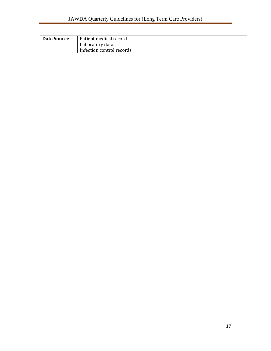| Data Source | Patient medical record    |
|-------------|---------------------------|
|             | Laboratory data           |
|             | Infection control records |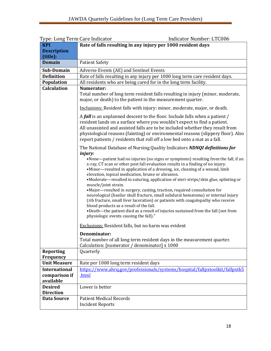| Type: Long Term Care Indicator                     | <b>Indicator Number: LTC006</b>                                                                                                                                                                                                                                                                                                                                                                                                                                                                                                                                                                                                                                                                                                                                                                                                                                              |
|----------------------------------------------------|------------------------------------------------------------------------------------------------------------------------------------------------------------------------------------------------------------------------------------------------------------------------------------------------------------------------------------------------------------------------------------------------------------------------------------------------------------------------------------------------------------------------------------------------------------------------------------------------------------------------------------------------------------------------------------------------------------------------------------------------------------------------------------------------------------------------------------------------------------------------------|
| <b>KPI</b>                                         | Rate of falls resulting in any injury per 1000 resident days                                                                                                                                                                                                                                                                                                                                                                                                                                                                                                                                                                                                                                                                                                                                                                                                                 |
| <b>Description</b>                                 |                                                                                                                                                                                                                                                                                                                                                                                                                                                                                                                                                                                                                                                                                                                                                                                                                                                                              |
| (title):                                           |                                                                                                                                                                                                                                                                                                                                                                                                                                                                                                                                                                                                                                                                                                                                                                                                                                                                              |
| <b>Domain</b>                                      | <b>Patient Safety</b>                                                                                                                                                                                                                                                                                                                                                                                                                                                                                                                                                                                                                                                                                                                                                                                                                                                        |
| Sub-Domain                                         | Adverse Events (AE) and Sentinel Events                                                                                                                                                                                                                                                                                                                                                                                                                                                                                                                                                                                                                                                                                                                                                                                                                                      |
| <b>Definition</b>                                  | Rate of falls resulting in any injury per 1000 long term care resident days.                                                                                                                                                                                                                                                                                                                                                                                                                                                                                                                                                                                                                                                                                                                                                                                                 |
| Population                                         | All residents who are being cared for in the long term facility.                                                                                                                                                                                                                                                                                                                                                                                                                                                                                                                                                                                                                                                                                                                                                                                                             |
| <b>Calculation</b>                                 | Numerator:<br>Total number of long term resident falls resulting in injury (minor, moderate,<br>major, or death) to the patient in the measurement quarter.                                                                                                                                                                                                                                                                                                                                                                                                                                                                                                                                                                                                                                                                                                                  |
|                                                    | Inclusions: Resident falls with injury: minor, moderate, major, or death.                                                                                                                                                                                                                                                                                                                                                                                                                                                                                                                                                                                                                                                                                                                                                                                                    |
|                                                    | A fall is an unplanned descent to the floor. Include falls when a patient /<br>resident lands on a surface where you wouldn't expect to find a patient.<br>All unassisted and assisted falls are to be included whether they result from<br>physiological reasons (fainting) or environmental reasons (slippery floor). Also<br>report patients / residents that roll off a low bed onto a mat as a fall.                                                                                                                                                                                                                                                                                                                                                                                                                                                                    |
|                                                    | The National Database of Nursing Quality Indicators NDNQI definitions for                                                                                                                                                                                                                                                                                                                                                                                                                                                                                                                                                                                                                                                                                                                                                                                                    |
|                                                    | <i>injury:</i><br>•None-patient had no injuries (no signs or symptoms) resulting from the fall, if an<br>x-ray, CT scan or other post fall evaluation results in a finding of no injury.<br>•Minor—resulted in application of a dressing, ice, cleaning of a wound, limb<br>elevation, topical medication, bruise or abrasion.<br>•Moderate-resulted in suturing, application of steri-strips/skin glue, splinting or<br>muscle/joint strain.<br>•Major-resulted in surgery, casting, traction, required consultation for<br>neurological (basilar skull fracture, small subdural hematoma) or internal injury<br>(rib fracture, small liver laceration) or patients with coagulopathy who receive<br>blood products as a result of the fall.<br>.Death-the patient died as a result of injuries sustained from the fall (not from<br>physiologic events causing the fall)." |
|                                                    | <b>Exclusions:</b> Resident falls, but no harm was evident                                                                                                                                                                                                                                                                                                                                                                                                                                                                                                                                                                                                                                                                                                                                                                                                                   |
|                                                    | Denominator:<br>Total number of all long term resident days in the measurement quarter.<br>Calculation: [numerator / denominator] x 1000                                                                                                                                                                                                                                                                                                                                                                                                                                                                                                                                                                                                                                                                                                                                     |
| <b>Reporting</b>                                   | Quarterly                                                                                                                                                                                                                                                                                                                                                                                                                                                                                                                                                                                                                                                                                                                                                                                                                                                                    |
| Frequency                                          |                                                                                                                                                                                                                                                                                                                                                                                                                                                                                                                                                                                                                                                                                                                                                                                                                                                                              |
| <b>Unit Measure</b>                                | Rate per 1000 long term resident days                                                                                                                                                                                                                                                                                                                                                                                                                                                                                                                                                                                                                                                                                                                                                                                                                                        |
| <b>International</b><br>comparison if<br>available | https://www.ahrq.gov/professionals/systems/hospital/fallpxtoolkit/fallpxtk5<br>html                                                                                                                                                                                                                                                                                                                                                                                                                                                                                                                                                                                                                                                                                                                                                                                          |
| <b>Desired</b>                                     | Lower is better                                                                                                                                                                                                                                                                                                                                                                                                                                                                                                                                                                                                                                                                                                                                                                                                                                                              |
| <b>Direction</b>                                   |                                                                                                                                                                                                                                                                                                                                                                                                                                                                                                                                                                                                                                                                                                                                                                                                                                                                              |
| <b>Data Source</b>                                 | <b>Patient Medical Records</b><br><b>Incident Reports</b>                                                                                                                                                                                                                                                                                                                                                                                                                                                                                                                                                                                                                                                                                                                                                                                                                    |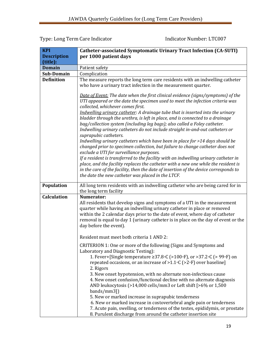| <b>KPI</b>         | Catheter-associated Symptomatic Urinary Tract Infection (CA-SUTI)                                                                                                                                                                                                                                                                                                                                                                                                                                                                                                                                                                                                                                                                                                                                                                                                                                                                                                                                                                                                                                      |
|--------------------|--------------------------------------------------------------------------------------------------------------------------------------------------------------------------------------------------------------------------------------------------------------------------------------------------------------------------------------------------------------------------------------------------------------------------------------------------------------------------------------------------------------------------------------------------------------------------------------------------------------------------------------------------------------------------------------------------------------------------------------------------------------------------------------------------------------------------------------------------------------------------------------------------------------------------------------------------------------------------------------------------------------------------------------------------------------------------------------------------------|
| <b>Description</b> | per 1000 patient days                                                                                                                                                                                                                                                                                                                                                                                                                                                                                                                                                                                                                                                                                                                                                                                                                                                                                                                                                                                                                                                                                  |
| (title):           |                                                                                                                                                                                                                                                                                                                                                                                                                                                                                                                                                                                                                                                                                                                                                                                                                                                                                                                                                                                                                                                                                                        |
| <b>Domain</b>      | Patient safety                                                                                                                                                                                                                                                                                                                                                                                                                                                                                                                                                                                                                                                                                                                                                                                                                                                                                                                                                                                                                                                                                         |
| Sub-Domain         | Complication                                                                                                                                                                                                                                                                                                                                                                                                                                                                                                                                                                                                                                                                                                                                                                                                                                                                                                                                                                                                                                                                                           |
| <b>Definition</b>  | The measure reports the long term care residents with an indwelling catheter                                                                                                                                                                                                                                                                                                                                                                                                                                                                                                                                                                                                                                                                                                                                                                                                                                                                                                                                                                                                                           |
|                    | who have a urinary tract infection in the measurement quarter.                                                                                                                                                                                                                                                                                                                                                                                                                                                                                                                                                                                                                                                                                                                                                                                                                                                                                                                                                                                                                                         |
|                    | Date of Event: The date when the first clinical evidence (signs/symptoms) of the<br>UTI appeared or the date the specimen used to meet the infection criteria was<br>collected, whichever comes first.<br>Indwelling urinary catheter: A drainage tube that is inserted into the urinary<br>bladder through the urethra, is left in place, and is connected to a drainage<br>bag/collection system (including leg bags); also called a Foley catheter.<br>Indwelling urinary catheters do not include straight in-and-out catheters or<br>suprapubic catheters.<br>Indwelling urinary catheters which have been in place for >14 days should be<br>changed prior to specimen collection, but failure to change catheter does not<br>exclude a UTI for surveillance purposes.<br>If a resident is transferred to the facility with an indwelling urinary catheter in<br>place, and the facility replaces the catheter with a new one while the resident is<br>in the care of the facility, then the date of insertion of the device corresponds to<br>the date the new catheter was placed in the LTCF. |
| Population         | All long term residents with an indwelling catheter who are being cared for in<br>the long term facility                                                                                                                                                                                                                                                                                                                                                                                                                                                                                                                                                                                                                                                                                                                                                                                                                                                                                                                                                                                               |
| <b>Calculation</b> | <b>Numerator:</b>                                                                                                                                                                                                                                                                                                                                                                                                                                                                                                                                                                                                                                                                                                                                                                                                                                                                                                                                                                                                                                                                                      |
|                    | All residents that develop signs and symptoms of a UTI in the measurement<br>quarter while having an indwelling urinary catheter in place or removed<br>within the 2 calendar days prior to the date of event, where day of catheter<br>removal is equal to day 1 (urinary catheter is in place on the day of event or the<br>day before the event).                                                                                                                                                                                                                                                                                                                                                                                                                                                                                                                                                                                                                                                                                                                                                   |
|                    | Resident must meet both criteria 1 AND 2:                                                                                                                                                                                                                                                                                                                                                                                                                                                                                                                                                                                                                                                                                                                                                                                                                                                                                                                                                                                                                                                              |
|                    | CRITERION 1: One or more of the following (Signs and Symptoms and<br>Laboratory and Diagnostic Testing):<br>1. Fever+[Single temperature $\geq$ 37.8 $\circ$ C (>100 $\circ$ F), or >37.2 $\circ$ C (> 99 $\circ$ F) on<br>repeated occasions, or an increase of $>1.1$ °C ( $>2$ °F) over baseline]<br>2. Rigors<br>3. New onset hypotension, with no alternate non-infectious cause<br>4. New onset confusion/functional decline with no alternate diagnosis<br>AND leukocytosis (>14,000 cells/mm3 or Left shift [>6% or 1,500<br>bands/mm3])<br>5. New or marked increase in suprapubic tenderness<br>6. New or marked increase in costovertebral angle pain or tenderness<br>7. Acute pain, swelling, or tenderness of the testes, epididymis, or prostate<br>8. Purulent discharge from around the catheter insertion site                                                                                                                                                                                                                                                                       |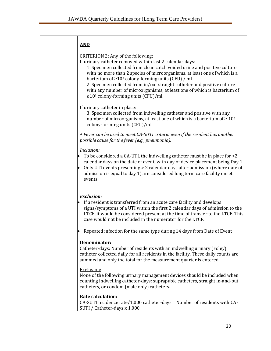| <b>AND</b>                                                                                                                                                                                                                                                                                                                                                                                                                                                                                                                     |
|--------------------------------------------------------------------------------------------------------------------------------------------------------------------------------------------------------------------------------------------------------------------------------------------------------------------------------------------------------------------------------------------------------------------------------------------------------------------------------------------------------------------------------|
| CRITERION 2: Any of the following:<br>If urinary catheter removed within last 2 calendar days:<br>1. Specimen collected from clean catch voided urine and positive culture<br>with no more than 2 species of microorganisms, at least one of which is a<br>bacterium of $\geq 10^5$ colony-forming units (CFU) / ml<br>2. Specimen collected from in/out straight catheter and positive culture<br>with any number of microorganisms, at least one of which is bacterium of<br>≥10 <sup>2</sup> colony-forming units (CFU)/ml. |
| If urinary catheter in place:<br>3. Specimen collected from indwelling catheter and positive with any<br>number of microorganisms, at least one of which is a bacterium of $\geq 10^5$<br>colony-forming units (CFU)/ml.                                                                                                                                                                                                                                                                                                       |
| + Fever can be used to meet CA-SUTI criteria even if the resident has another<br>possible cause for the fever (e.g., pneumonia).                                                                                                                                                                                                                                                                                                                                                                                               |
| Inclusion:<br>To be considered a CA-UTI, the indwelling catheter must be in place for >2<br>calendar days on the date of event, with day of device placement being Day 1.<br>Only UTI events presenting > 2 calendar days after admission (where date of<br>admission is equal to day 1) are considered long term care facility onset<br>events.                                                                                                                                                                               |
| <b>Exclusion:</b><br>If a resident is transferred from an acute care facility and develops<br>signs/symptoms of a UTI within the first 2 calendar days of admission to the<br>LTCF, it would be considered present at the time of transfer to the LTCF. This<br>case would not be included in the numerator for the LTCF.                                                                                                                                                                                                      |
| Repeated infection for the same type during 14 days from Date of Event                                                                                                                                                                                                                                                                                                                                                                                                                                                         |
| Denominator:<br>Catheter-days: Number of residents with an indwelling urinary (Foley)<br>catheter collected daily for all residents in the facility. These daily counts are<br>summed and only the total for the measurement quarter is entered.                                                                                                                                                                                                                                                                               |
| Exclusion:<br>None of the following urinary management devices should be included when<br>counting indwelling catheter-days: suprapubic catheters, straight in-and-out<br>catheters, or condom (male only) catheters.                                                                                                                                                                                                                                                                                                          |
| <b>Rate calculation:</b><br>CA-SUTI incidence rate/1,000 catheter-days = Number of residents with CA-<br>SUTI / Catheter-days x 1,000                                                                                                                                                                                                                                                                                                                                                                                          |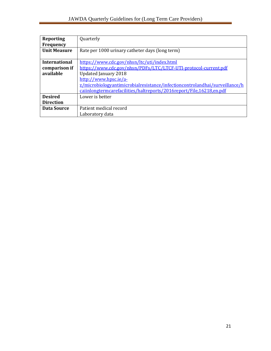F

| <b>Reporting</b>     | Quarterly                                                                          |
|----------------------|------------------------------------------------------------------------------------|
| Frequency            |                                                                                    |
| <b>Unit Measure</b>  | Rate per 1000 urinary catheter days (long term)                                    |
|                      |                                                                                    |
| <b>International</b> | https://www.cdc.gov/nhsn/ltc/uti/index.html                                        |
| comparison if        | https://www.cdc.gov/nhsn/PDFs/LTC/LTCF-UTI-protocol-current.pdf                    |
| available            | <b>Updated January 2018</b>                                                        |
|                      | http://www.hpsc.ie/a-                                                              |
|                      | <u>z/microbiologyantimicrobialresistance/infectioncontrolandhai/surveillance/h</u> |
|                      | caiinlongtermcarefacilities/haltreports/2016report/File.16218.en.pdf               |
| <b>Desired</b>       | Lower is better                                                                    |
| <b>Direction</b>     |                                                                                    |
| Data Source          | Patient medical record                                                             |
|                      | Laboratory data                                                                    |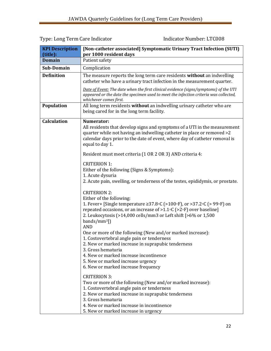| Type: Long Term Care Indicator |  |
|--------------------------------|--|
|--------------------------------|--|

Indicator Number: LTC008

| <b>KPI Description</b><br>(title): | [Non-catheter associated] Symptomatic Urinary Tract Infection (SUTI)<br>per 1000 resident days                                                                                                                                                                                                                                                                                                                                                                                                                                                                                                                                                                           |  |
|------------------------------------|--------------------------------------------------------------------------------------------------------------------------------------------------------------------------------------------------------------------------------------------------------------------------------------------------------------------------------------------------------------------------------------------------------------------------------------------------------------------------------------------------------------------------------------------------------------------------------------------------------------------------------------------------------------------------|--|
| <b>Domain</b>                      | Patient safety                                                                                                                                                                                                                                                                                                                                                                                                                                                                                                                                                                                                                                                           |  |
| Sub-Domain                         | Complication                                                                                                                                                                                                                                                                                                                                                                                                                                                                                                                                                                                                                                                             |  |
| <b>Definition</b>                  | The measure reports the long term care residents without an indwelling<br>catheter who have a urinary tract infection in the measurement quarter.                                                                                                                                                                                                                                                                                                                                                                                                                                                                                                                        |  |
|                                    | Date of Event: The date when the first clinical evidence (signs/symptoms) of the UTI<br>appeared or the date the specimen used to meet the infection criteria was collected,<br>whichever comes first.                                                                                                                                                                                                                                                                                                                                                                                                                                                                   |  |
| Population                         | All long term residents without an indwelling urinary catheter who are<br>being cared for in the long term facility.                                                                                                                                                                                                                                                                                                                                                                                                                                                                                                                                                     |  |
| <b>Calculation</b>                 | Numerator:<br>All residents that develop signs and symptoms of a UTI in the measurement<br>quarter while not having an indwelling catheter in place or removed >2<br>calendar days prior to the date of event, where day of catheter removal is<br>equal to day 1.                                                                                                                                                                                                                                                                                                                                                                                                       |  |
|                                    | Resident must meet criteria (1 OR 2 OR 3) AND criteria 4:                                                                                                                                                                                                                                                                                                                                                                                                                                                                                                                                                                                                                |  |
|                                    | <b>CRITERION 1:</b><br>Either of the following (Signs & Symptoms):<br>1. Acute dysuria<br>2. Acute pain, swelling, or tenderness of the testes, epididymis, or prostate.                                                                                                                                                                                                                                                                                                                                                                                                                                                                                                 |  |
|                                    | <b>CRITERION 2:</b><br>Either of the following:<br>1. Fever+ [Single temperature $\geq$ 37.8 $\circ$ C (>100 $\circ$ F), or >37.2 $\circ$ C (> 99 $\circ$ F) on<br>repeated occasions, or an increase of $>1.1$ °C ( $>2$ °F) over baseline]<br>2. Leukocytosis (>14,000 cells/mm3 or Left shift [>6% or 1,500<br>$bands/mm$ <sup>3</sup> ])<br><b>AND</b><br>One or more of the following (New and/or marked increase):<br>1. Costovertebral angle pain or tenderness<br>2. New or marked increase in suprapubic tenderness<br>3. Gross hematuria<br>4. New or marked increase incontinence<br>5. New or marked increase urgency<br>6. New or marked increase frequency |  |
|                                    | <b>CRITERION 3:</b><br>Two or more of the following (New and/or marked increase):<br>1. Costovertebral angle pain or tenderness<br>2. New or marked increase in suprapubic tenderness<br>3. Gross hematuria<br>4. New or marked increase in incontinence<br>5. New or marked increase in urgency                                                                                                                                                                                                                                                                                                                                                                         |  |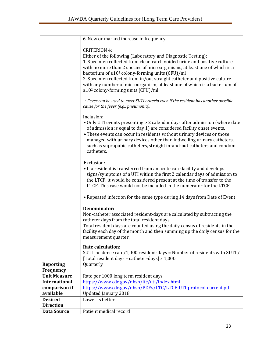|                      | 6. New or marked increase in frequency                                                                                                                                                                                                                                                                                                                                                                                                                                                                                  |
|----------------------|-------------------------------------------------------------------------------------------------------------------------------------------------------------------------------------------------------------------------------------------------------------------------------------------------------------------------------------------------------------------------------------------------------------------------------------------------------------------------------------------------------------------------|
|                      | <b>CRITERION 4:</b><br>Either of the following (Laboratory and Diagnostic Testing):<br>1. Specimen collected from clean catch voided urine and positive culture<br>with no more than 2 species of microorganisms, at least one of which is a<br>bacterium of $\geq 10^5$ colony-forming units (CFU)/ml<br>2. Specimen collected from in/out straight catheter and positive culture<br>with any number of microorganism, at least one of which is a bacterium of<br>$\geq$ 10 <sup>2</sup> colony-forming units (CFU)/ml |
|                      | + Fever can be used to meet SUTI criteria even if the resident has another possible<br>cause for the fever (e.g., pneumonia).                                                                                                                                                                                                                                                                                                                                                                                           |
|                      |                                                                                                                                                                                                                                                                                                                                                                                                                                                                                                                         |
|                      | Inclusion:<br>. Only UTI events presenting > 2 calendar days after admission (where date<br>of admission is equal to day 1) are considered facility onset events.<br>• These events can occur in residents without urinary devices or those<br>managed with urinary devices other than indwelling urinary catheters,<br>such as suprapubic catheters, straight in-and-out catheters and condom<br>catheters.                                                                                                            |
|                      | Exclusion:<br>• If a resident is transferred from an acute care facility and develops<br>signs/symptoms of a UTI within the first 2 calendar days of admission to<br>the LTCF, it would be considered present at the time of transfer to the<br>LTCF. This case would not be included in the numerator for the LTCF.                                                                                                                                                                                                    |
|                      | • Repeated infection for the same type during 14 days from Date of Event                                                                                                                                                                                                                                                                                                                                                                                                                                                |
|                      | <b>Denominator:</b>                                                                                                                                                                                                                                                                                                                                                                                                                                                                                                     |
|                      | Non-catheter associated resident-days are calculated by subtracting the<br>catheter days from the total resident days.                                                                                                                                                                                                                                                                                                                                                                                                  |
|                      | Total resident days are counted using the daily census of residents in the<br>facility each day of the month and then summing up the daily census for the<br>measurement quarter.                                                                                                                                                                                                                                                                                                                                       |
|                      | Rate calculation:                                                                                                                                                                                                                                                                                                                                                                                                                                                                                                       |
|                      | SUTI incidence rate/1,000 resident-days = Number of residents with SUTI /                                                                                                                                                                                                                                                                                                                                                                                                                                               |
|                      | [Total resident days - catheter-days] x 1,000                                                                                                                                                                                                                                                                                                                                                                                                                                                                           |
| <b>Reporting</b>     | Quarterly                                                                                                                                                                                                                                                                                                                                                                                                                                                                                                               |
| Frequency            |                                                                                                                                                                                                                                                                                                                                                                                                                                                                                                                         |
| <b>Unit Measure</b>  | Rate per 1000 long term resident days                                                                                                                                                                                                                                                                                                                                                                                                                                                                                   |
| <b>International</b> | https://www.cdc.gov/nhsn/ltc/uti/index.html                                                                                                                                                                                                                                                                                                                                                                                                                                                                             |
| comparison if        | https://www.cdc.gov/nhsn/PDFs/LTC/LTCF-UTI-protocol-current.pdf                                                                                                                                                                                                                                                                                                                                                                                                                                                         |
| available            | <b>Updated January 2018</b>                                                                                                                                                                                                                                                                                                                                                                                                                                                                                             |
| <b>Desired</b>       | Lower is better                                                                                                                                                                                                                                                                                                                                                                                                                                                                                                         |
| <b>Direction</b>     |                                                                                                                                                                                                                                                                                                                                                                                                                                                                                                                         |
| <b>Data Source</b>   | Patient medical record                                                                                                                                                                                                                                                                                                                                                                                                                                                                                                  |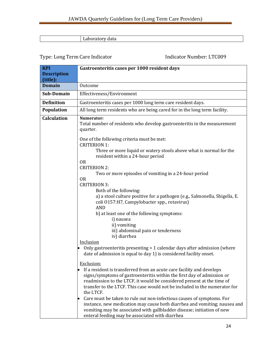#### Laboratory data

| <b>KPI</b>         | Gastroenteritis cases per 1000 resident days                                                                                                                                                                                                                                                                                                                                                                                                                                                                                                                                                                                          |
|--------------------|---------------------------------------------------------------------------------------------------------------------------------------------------------------------------------------------------------------------------------------------------------------------------------------------------------------------------------------------------------------------------------------------------------------------------------------------------------------------------------------------------------------------------------------------------------------------------------------------------------------------------------------|
| <b>Description</b> |                                                                                                                                                                                                                                                                                                                                                                                                                                                                                                                                                                                                                                       |
| (title):           |                                                                                                                                                                                                                                                                                                                                                                                                                                                                                                                                                                                                                                       |
| <b>Domain</b>      | Outcome                                                                                                                                                                                                                                                                                                                                                                                                                                                                                                                                                                                                                               |
| Sub-Domain         | Effectiveness/Environment                                                                                                                                                                                                                                                                                                                                                                                                                                                                                                                                                                                                             |
| <b>Definition</b>  | Gastroenteritis cases per 1000 long term care resident days.                                                                                                                                                                                                                                                                                                                                                                                                                                                                                                                                                                          |
| Population         | All long term residents who are being cared for in the long term facility.                                                                                                                                                                                                                                                                                                                                                                                                                                                                                                                                                            |
| <b>Calculation</b> | Numerator:<br>Total number of residents who develop gastroenteritis in the measurement<br>quarter.                                                                                                                                                                                                                                                                                                                                                                                                                                                                                                                                    |
|                    | One of the following criteria must be met:<br><b>CRITERION 1:</b><br>Three or more liquid or watery stools above what is normal for the                                                                                                                                                                                                                                                                                                                                                                                                                                                                                               |
|                    | resident within a 24-hour period<br><b>OR</b><br><b>CRITERION 2:</b><br>Two or more episodes of vomiting in a 24-hour period<br><b>OR</b><br><b>CRITERION 3:</b><br>Both of the following:<br>a) a stool culture positive for a pathogen (e.g., Salmonella, Shigella, E.<br>coli 0157:H7, Campylobacter spp., rotavirus)<br><b>AND</b><br>b) at least one of the following symptoms:<br>i) nausea<br>ii) vomiting<br>iii) abdominal pain or tenderness<br>iv) diarrhea<br>Inclusion<br>Only gastroenteritis presenting > 1 calendar days after admission (where<br>date of admission is equal to day 1) is considered facility onset. |
|                    | Exclusion:<br>If a resident is transferred from an acute care facility and develops<br>signs/symptoms of gastroenteritis within the first day of admission or<br>readmission to the LTCF, it would be considered present at the time of<br>transfer to the LTCF. This case would not be included in the numerator for<br>the LTCF.<br>Care must be taken to rule out non-infectious causes of symptoms. For<br>instance, new medication may cause both diarrhea and vomiting; nausea and<br>vomiting may be associated with gallbladder disease; initiation of new<br>enteral feeding may be associated with diarrhea                 |